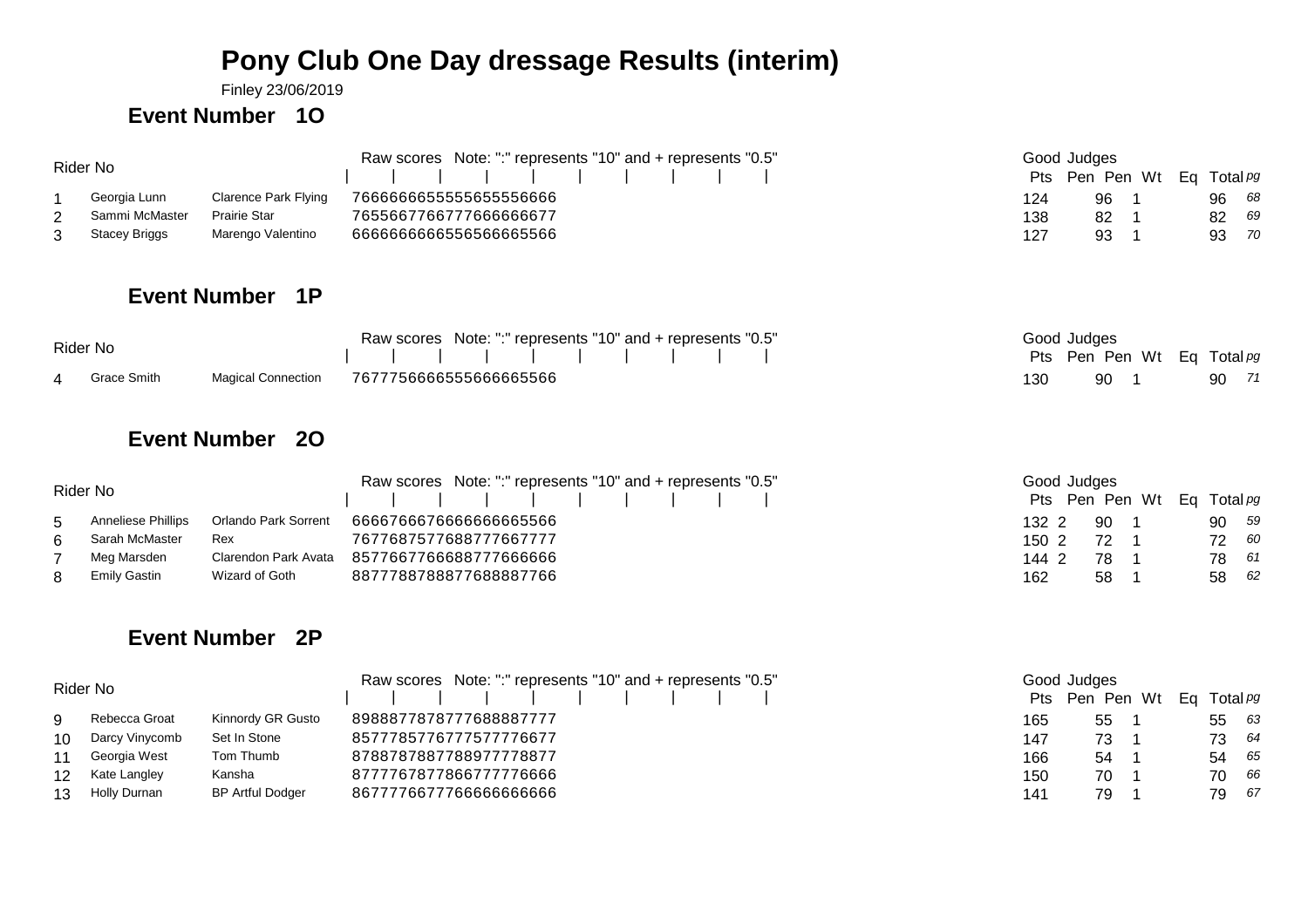## **Pony Club One Day dressage Results (interim)**

Finley 23/06/2019

#### **Event Number 1O**

| Rider No       |                      | Raw scores Note: ":" represents "10" and + represents "0.5" | Good Judges |                            |       |    |
|----------------|----------------------|-------------------------------------------------------------|-------------|----------------------------|-------|----|
|                |                      | 1 1 1 1 1 1 1 1 1 1                                         |             | Pts Pen Pen Wt Eq Total pg |       |    |
| Georgia Lunn   | Clarence Park Flying | 7666666655555655556666                                      | 124         | 96                         | 96 68 |    |
| Sammi McMaster | Prairie Star         | 7655667766777666666677                                      | 138         | 82                         | 82    | 69 |
| Stacey Briggs  | Marengo Valentino    | 666666666556566665566                                       | 127         | 93                         | 93    | 70 |

### **Event Number 1P**

|          |               | Raw scores Note: ":" represents "10" and + represents "0.5" |     | Good Judges                |  |       |  |
|----------|---------------|-------------------------------------------------------------|-----|----------------------------|--|-------|--|
| Rider No |               |                                                             |     | Pts Pen Pen Wt Eq Total pg |  |       |  |
|          | 4 Grace Smith | Magical Connection 7677756666555666665566                   | 130 | 90 1                       |  | 90 71 |  |

#### **Event Number 2O**

|   | Rider No                  |                      | Raw scores Note: ":" represents "10" and + represents "0.5"<br>1 1 1 1 1 1 1 1 1 1 1 | Good Judges<br>Pts Pen Pen Wt Eq Total pg |          |
|---|---------------------------|----------------------|--------------------------------------------------------------------------------------|-------------------------------------------|----------|
| 5 | <b>Anneliese Phillips</b> | Orlando Park Sorrent | 666676667666666665566                                                                | 132 2<br>-90                              | 90 59    |
| 6 | Sarah McMaster            | Rex                  | 7677687577688777667777                                                               | 1502<br>72                                | 72 60    |
|   | Meg Marsden               | Clarendon Park Avata | 8577667766688777666666                                                               | 144 2<br>78                               | 78 61    |
| 8 | Emily Gastin              | Wizard of Goth       | 8877788788877688887766                                                               | 162<br>58                                 | 62<br>58 |

# 2 <sup>90</sup> <sup>1</sup> <sup>90</sup> <sup>59</sup>  $1502$   $721$ <sup>72</sup> <sup>1</sup> <sup>72</sup> <sup>60</sup> 2 <sup>78</sup> <sup>1</sup> <sup>78</sup> <sup>61</sup>

## **Event Number 2P**

|                 | Rider No       | Raw scores Note: ":" represents "10" and + represents "0.5" | Good Judges            |                 |                            |       |  |  |  |
|-----------------|----------------|-------------------------------------------------------------|------------------------|-----------------|----------------------------|-------|--|--|--|
|                 |                |                                                             |                        |                 | Pts Pen Pen Wt Eq Total pg |       |  |  |  |
|                 | Rebecca Groat  | Kinnordy GR Gusto                                           | 8988877878777688887777 | 165             | 55                         | 55 63 |  |  |  |
| 10              | Darcy Vinycomb | Set In Stone                                                | 8577785776777577776677 | 147             | 73 -                       | 73 64 |  |  |  |
|                 | Georgia West   | Tom Thumb                                                   | 8788787887788977778877 | 166             | 54                         | 54 65 |  |  |  |
| 12              | Kate Langley   | Kansha                                                      | 8777767877866777776666 | 15 <sub>C</sub> | 70                         | 70 66 |  |  |  |
| 13 <sup>1</sup> | Holly Durnan   | <b>BP Artful Dodger</b>                                     | 8677776677766666666666 | 141             | 79                         | 79 67 |  |  |  |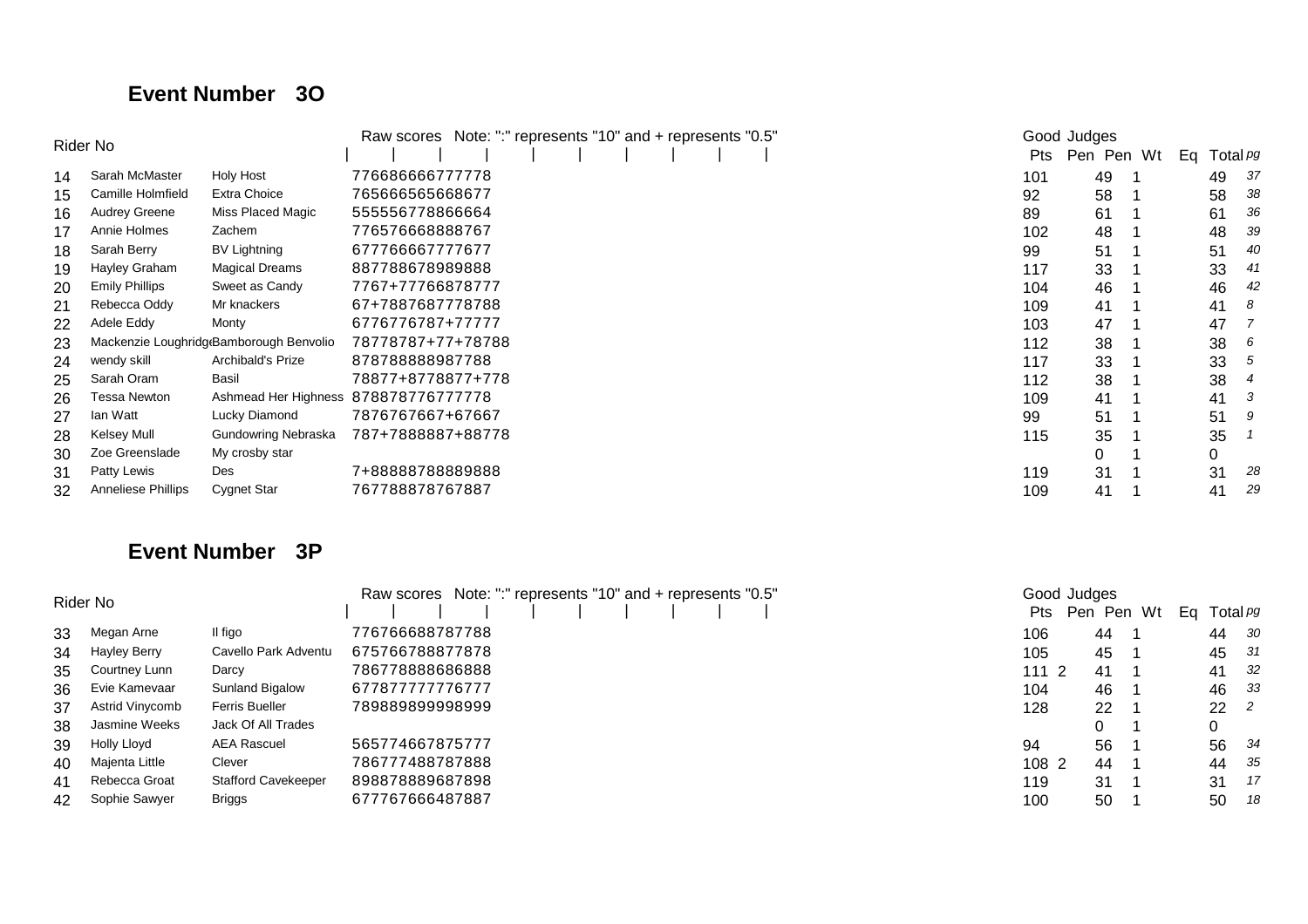### **Event Number 3O**

|    | Rider No                  | Note: ":" represents "10" and + represents "0.5"<br>Raw scores | Good Judges                          |     |            |    |                 |
|----|---------------------------|----------------------------------------------------------------|--------------------------------------|-----|------------|----|-----------------|
|    |                           |                                                                |                                      | Pts | Pen Pen Wt | Eq | Total <i>P9</i> |
| 14 | Sarah McMaster            | Holy Host                                                      | 776686666777778                      | 101 | 49         | 49 | -37             |
| 15 | Camille Holmfield         | Extra Choice                                                   | 765666565668677                      | 92  | 58         | 58 | -38             |
| 16 | <b>Audrey Greene</b>      | Miss Placed Magic                                              | 555556778866664                      | 89  | 61         | 61 | 36              |
| 17 | Annie Holmes              | Zachem                                                         | 776576668888767                      | 102 | 48         | 48 | -39             |
| 18 | Sarah Berry               | BV Lightning                                                   | 677766667777677                      | 99  | 51         | 51 | 40              |
| 19 | Hayley Graham             | <b>Magical Dreams</b>                                          | 887788678989888                      | 117 | 33         | 33 | 41              |
| 20 | <b>Emily Phillips</b>     | Sweet as Candy                                                 | 7767+77766878777                     | 104 | 46         | 46 | 42              |
| 21 | Rebecca Oddy              | Mr knackers                                                    | 67+7887687778788                     | 109 | 41         | 41 | -8              |
| 22 | Adele Eddy                | Monty                                                          | 6776776787+77777                     | 103 | 47         | 47 |                 |
| 23 |                           | Mackenzie Loughridg Bamborough Benvolio                        | 78778787+77+78788                    | 112 | 38         | 38 | -6              |
| 24 | wendy skill               | Archibald's Prize                                              | 878788888987788                      | 117 | 33         | 33 | -5              |
| 25 | Sarah Oram                | Basil                                                          | 78877+8778877+778                    | 112 | 38         | 38 | -4              |
| 26 | Tessa Newton              |                                                                | Ashmead Her Highness 878878776777778 | 109 | 41         | 41 | -3              |
| 27 | lan Watt                  | Lucky Diamond                                                  | 7876767667+67667                     | 99  | 51         | 51 |                 |
| 28 | <b>Kelsey Mull</b>        | Gundowring Nebraska                                            | 787+7888887+88778                    | 115 | 35         | 35 |                 |
| 30 | Zoe Greenslade            | My crosby star                                                 |                                      |     | 0          | 0  |                 |
| 31 | Patty Lewis               | Des                                                            | 7+88888788889888                     | 119 | 31         | 31 | 28              |
| 32 | <b>Anneliese Phillips</b> | Cygnet Star                                                    | 767788878767887                      | 109 | 41         | 41 | 29              |

### **Event Number 3P**

|    | Rider No            | Raw scores Note: ":" represents "10" and + represents "0.5" |                 |  | Good Judges |      |            |    |                 |
|----|---------------------|-------------------------------------------------------------|-----------------|--|-------------|------|------------|----|-----------------|
|    |                     |                                                             |                 |  |             | Pts  | Pen Pen Wt | Ea | Total <i>pg</i> |
| 33 | Megan Arne          | Il figo                                                     | 776766688787788 |  |             | 106  | 44         | 44 | - 30            |
| 34 | <b>Hayley Berry</b> | Cavello Park Adventu                                        | 675766788877878 |  |             | 105  | 45         | 45 | - 31            |
| 35 | Courtney Lunn       | Darcy                                                       | 786778888686888 |  |             | 1112 | -41        | 41 | - 32            |
| 36 | Evie Kamevaar       | Sunland Bigalow                                             | 677877777776777 |  |             | 104  | 46         | 46 | - 33            |
| 37 | Astrid Vinycomb     | <b>Ferris Bueller</b>                                       | 78988989998999  |  |             | 128  | 22         | 22 | - 2             |
| 38 | Jasmine Weeks       | Jack Of All Trades                                          |                 |  |             |      | 0          | 0  |                 |
| 39 | Holly Lloyd         | <b>AEA Rascuel</b>                                          | 565774667875777 |  |             | 94   | 56         | 56 | - 34            |
| 40 | Majenta Little      | Clever                                                      | 786777488787888 |  |             | 1082 | 44         | 44 | - 35            |
| 41 | Rebecca Groat       | <b>Stafford Cavekeeper</b>                                  | 898878889687898 |  |             | 119  | 31         | 31 | - 17            |
| 42 | Sophie Sawyer       | <b>Briggs</b>                                               | 677767666487887 |  |             | 100  | 50         | 50 | - 18            |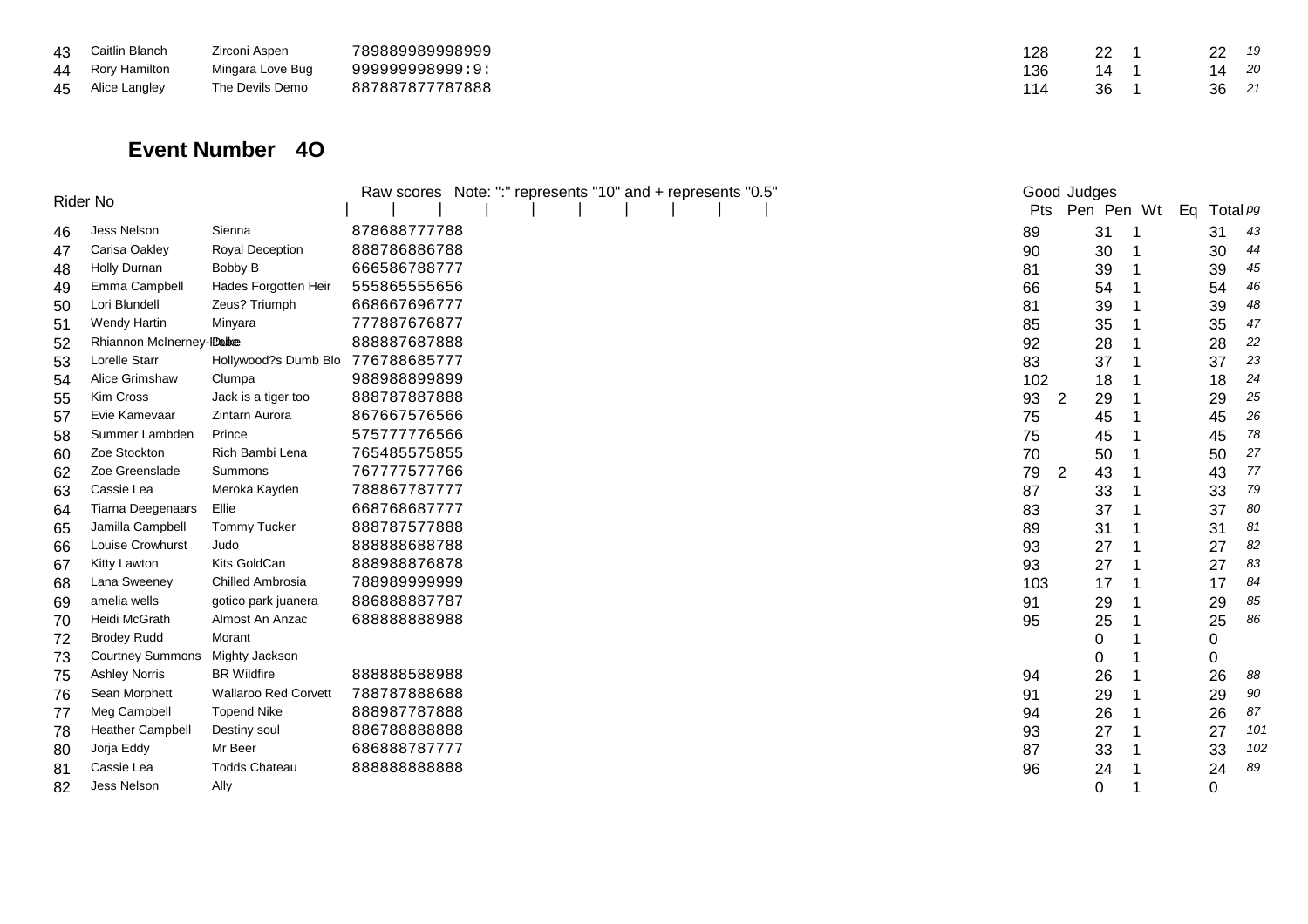| 43 Caitlin Blanch | Zirconi Aspen    | 789889989998999 | 128 | 22 | 22    | - 19 |
|-------------------|------------------|-----------------|-----|----|-------|------|
| 44 Rory Hamilton  | Mingara Love Bug | 99999998999:9:  | 136 | 14 | 14    | - 20 |
| 45 Alice Langley  | The Devils Demo  | 887887877787888 |     | 36 | 36 21 |      |

#### **Event Number 4O**

|    | Rider No                  |                                   | Raw scores Note: ":" represents "10" and + represents "0.5" |            | Good Judges |            |             |     |
|----|---------------------------|-----------------------------------|-------------------------------------------------------------|------------|-------------|------------|-------------|-----|
|    |                           |                                   |                                                             | <b>Pts</b> |             | Pen Pen Wt | Eq Total pg |     |
| 46 | Jess Nelson               | Sienna                            | 878688777788                                                | 89         |             | 31         | 31          | 43  |
| 47 | Carisa Oakley             | Royal Deception                   | 888786886788                                                | 90         |             | 30         | 30          | 44  |
| 48 | Holly Durnan              | Bobby B                           | 666586788777                                                | 81         |             | 39         | 39          | 45  |
| 49 | Emma Campbell             | Hades Forgotten Heir              | 555865555656                                                | 66         |             | 54         | 54          | 46  |
| 50 | Lori Blundell             | Zeus? Triumph                     | 668667696777                                                | 81         |             | 39         | 39          | 48  |
| 51 | Wendy Hartin              | Minyara                           | 777887676877                                                | 85         |             | 35         | 35          | 47  |
| 52 | Rhiannon McInerney-IDable |                                   | 888887687888                                                | 92         |             | 28         | 28          | 22  |
| 53 | Lorelle Starr             | Hollywood?s Dumb Blo 776788685777 |                                                             | 83         |             | 37         | 37          | 23  |
| 54 | Alice Grimshaw            | Clumpa                            | 988988899899                                                | 102        |             | 18         | 18          | 24  |
| 55 | Kim Cross                 | Jack is a tiger too               | 888787887888                                                | 93         | 2           | 29         | 29          | 25  |
| 57 | Evie Kamevaar             | Zintarn Aurora                    | 867667576566                                                | 75         |             | 45         | 45          | 26  |
| 58 | Summer Lambden            | Prince                            | 575777776566                                                | 75         |             | 45         | 45          | 78  |
| 60 | Zoe Stockton              | Rich Bambi Lena                   | 765485575855                                                | 70         |             | 50         | 50          | 27  |
| 62 | Zoe Greenslade            | Summons                           | 767777577766                                                | 79         | 2           | 43         | 43          | 77  |
| 63 | Cassie Lea                | Meroka Kayden                     | 788867787777                                                | 87         |             | 33         | 33          | 79  |
| 64 | <b>Tiarna Deegenaars</b>  | Ellie                             | 668768687777                                                | 83         |             | 37         | 37          | 80  |
| 65 | Jamilla Campbell          | Tommy Tucker                      | 888787577888                                                | 89         |             | 31         | 31          | 81  |
| 66 | Louise Crowhurst          | Judo                              | 888888688788                                                | 93         |             | 27         | 27          | 82  |
| 67 | Kitty Lawton              | Kits GoldCan                      | 888988876878                                                | 93         |             | 27         | 27          | 83  |
| 68 | Lana Sweeney              | Chilled Ambrosia                  | 78898999999                                                 | 103        |             | 17         | 17          | 84  |
| 69 | amelia wells              | gotico park juanera               | 886888887787                                                | 91         |             | 29         | 29          | 85  |
| 70 | Heidi McGrath             | Almost An Anzac                   | 68888888988                                                 | 95         |             | 25         | 25          | 86  |
| 72 | <b>Brodey Rudd</b>        | Morant                            |                                                             |            |             | 0          | 0           |     |
| 73 | <b>Courtney Summons</b>   | Mighty Jackson                    |                                                             |            |             | 0          | 0           |     |
| 75 | <b>Ashley Norris</b>      | <b>BR</b> Wildfire                | 888888588988                                                | 94         |             | 26         | 26          | 88  |
| 76 | Sean Morphett             | <b>Wallaroo Red Corvett</b>       | 788787888688                                                | 91         |             | 29         | 29          | 90  |
| 77 | Meg Campbell              | <b>Topend Nike</b>                | 888987787888                                                | 94         |             | 26         | 26          | 87  |
| 78 | <b>Heather Campbell</b>   | Destiny soul                      | 886788888888                                                | 93         |             | 27         | 27          | 101 |
| 80 | Jorja Eddy                | Mr Beer                           | 686888787777                                                | 87         |             | 33         | 33          | 102 |
| 81 | Cassie Lea                | <b>Todds Chateau</b>              | 88888888888                                                 | 96         |             | 24         | 24          | 89  |
| 82 | Jess Nelson               | Ally                              |                                                             |            |             | 0          | 0           |     |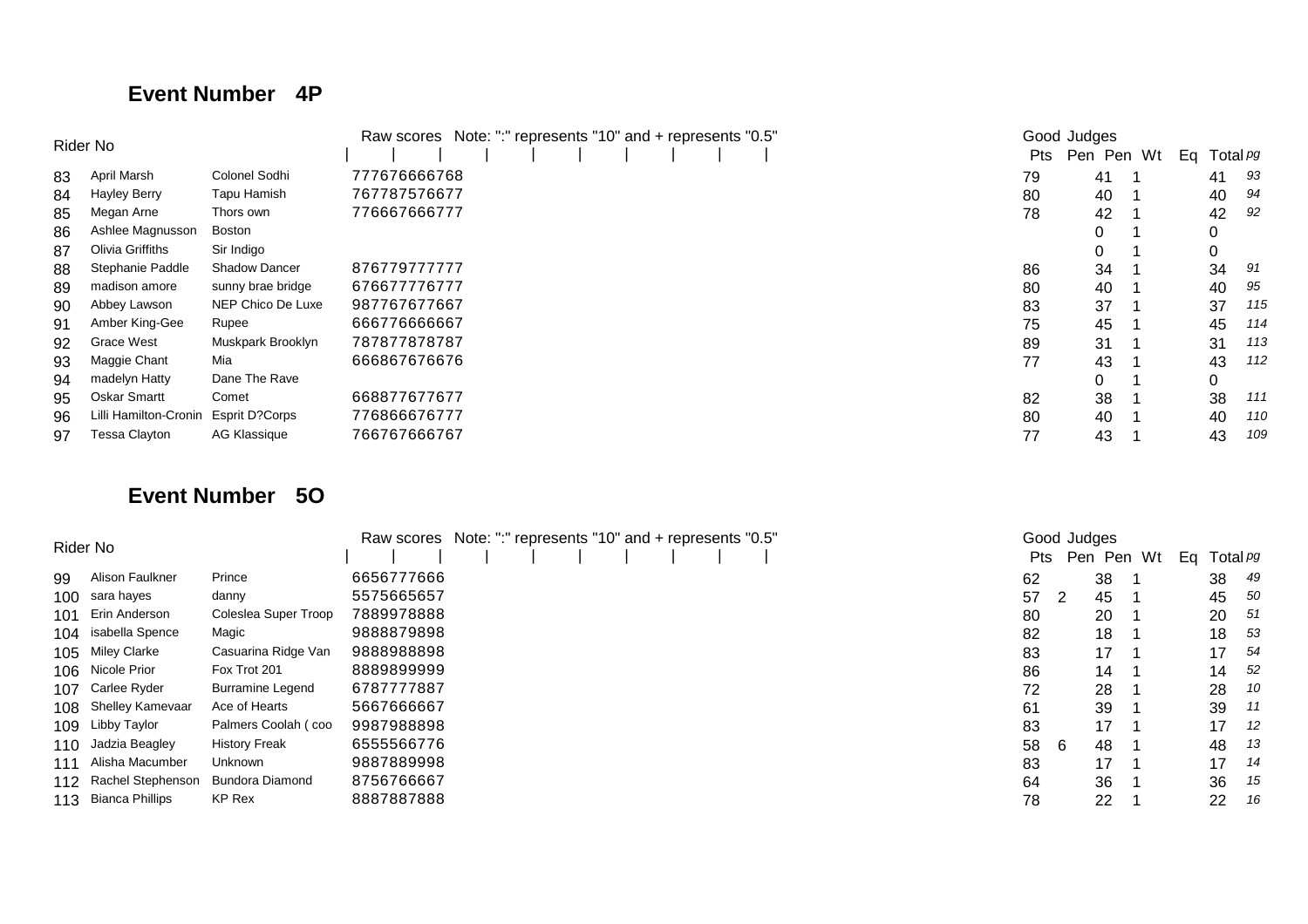#### **Event Number 4P**

|    | Rider No              | Note: ":" represents "10" and + represents "0.5"<br>Raw scores | Good Judges  |            |            |          |                 |
|----|-----------------------|----------------------------------------------------------------|--------------|------------|------------|----------|-----------------|
|    |                       |                                                                |              | <b>Pts</b> | Pen Pen Wt | Eq       | Total <i>pg</i> |
| 83 | April Marsh           | Colonel Sodhi                                                  | 777676666768 | 79         | 41         | 41       | 93              |
| 84 | Hayley Berry          | Tapu Hamish                                                    | 767787576677 | 80         | 40         | 40       | 94              |
| 85 | Megan Arne            | Thors own                                                      | 776667666777 | 78         | 42         | 42       | 92              |
| 86 | Ashlee Magnusson      | Boston                                                         |              |            | 0          |          |                 |
| 87 | Olivia Griffiths      | Sir Indigo                                                     |              |            | 0          | 0        |                 |
| 88 | Stephanie Paddle      | <b>Shadow Dancer</b>                                           | 876779777777 | 86         | 34         | 34       | 91              |
| 89 | madison amore         | sunny brae bridge                                              | 676677776777 | 80         | 40         | 40       | 95              |
| 90 | Abbey Lawson          | NEP Chico De Luxe                                              | 987767677667 | 83         | 37         | 37       | 115             |
| 91 | Amber King-Gee        | Rupee                                                          | 666776666667 | 75         | 45         | 45       | 114             |
| 92 | <b>Grace West</b>     | Muskpark Brooklyn                                              | 787877878787 | 89         | 31         | 31       | 113             |
| 93 | Maggie Chant          | Mia                                                            | 666867676676 | 77         | 43         | 43       | 112             |
| 94 | madelyn Hatty         | Dane The Rave                                                  |              |            | 0          | $\Omega$ |                 |
| 95 | Oskar Smartt          | Comet                                                          | 668877677677 | 82         | 38         | 38       | 111             |
| 96 | Lilli Hamilton-Cronin | Esprit D?Corps                                                 | 776866676777 | 80         | 40         | 40       | 110             |
| 97 | Tessa Clayton         | AG Klassique                                                   | 766767666767 | 77         | 43         | 43       | 109             |

### **Event Number 5O**

|     | Rider No                | Raw scores              | Note: ":" represents "10" and + represents "0.5" |  |  |  |  |  |     | Good Judges |    |            |    |                 |     |
|-----|-------------------------|-------------------------|--------------------------------------------------|--|--|--|--|--|-----|-------------|----|------------|----|-----------------|-----|
|     |                         |                         |                                                  |  |  |  |  |  | Pts |             |    | Pen Pen Wt | Ea | Total <i>pg</i> |     |
| 99  | Alison Faulkner         | Prince                  | 6656777666                                       |  |  |  |  |  | 62  |             | 38 |            |    | 38              | 49  |
| 100 | sara hayes              | danny                   | 5575665657                                       |  |  |  |  |  | 57  | - 2         | 45 |            |    | 45              | -50 |
| 101 | Erin Anderson           | Coleslea Super Troop    | 7889978888                                       |  |  |  |  |  | 80  |             | 20 |            |    | 20              | 51  |
|     | 104 isabella Spence     | Magic                   | 9888879898                                       |  |  |  |  |  | 82  |             | 18 |            |    | 18              | -53 |
|     | 105 Miley Clarke        | Casuarina Ridge Van     | 9888988898                                       |  |  |  |  |  | 83  |             | 17 |            |    | 17              | 54  |
|     | 106 Nicole Prior        | Fox Trot 201            | 8889899999                                       |  |  |  |  |  | 86  |             | 14 |            |    | 14              | 52  |
| 107 | Carlee Ryder            | <b>Burramine Legend</b> | 6787777887                                       |  |  |  |  |  | 72  |             | 28 |            |    | 28              | 10  |
| 108 | <b>Shelley Kamevaar</b> | Ace of Hearts           | 5667666667                                       |  |  |  |  |  | 61  |             | 39 |            |    | 39              | 11  |
| 109 | Libby Taylor            | Palmers Coolah (coo     | 9987988898                                       |  |  |  |  |  | 83  |             | 17 |            |    | 17              | -12 |
| 110 | Jadzia Beagley          | <b>History Freak</b>    | 6555566776                                       |  |  |  |  |  | 58  | -6          | 48 |            |    | 48              | -13 |
| 111 | Alisha Macumber         | Unknown                 | 9887889998                                       |  |  |  |  |  | 83  |             | 17 |            |    | 17              | 14  |
| 112 | Rachel Stephenson       | <b>Bundora Diamond</b>  | 8756766667                                       |  |  |  |  |  | 64  |             | 36 |            |    | 36              | 15  |
| 113 | <b>Bianca Phillips</b>  | KP Rex                  | 8887887888                                       |  |  |  |  |  | 78  |             | 22 |            |    | 22              | 16  |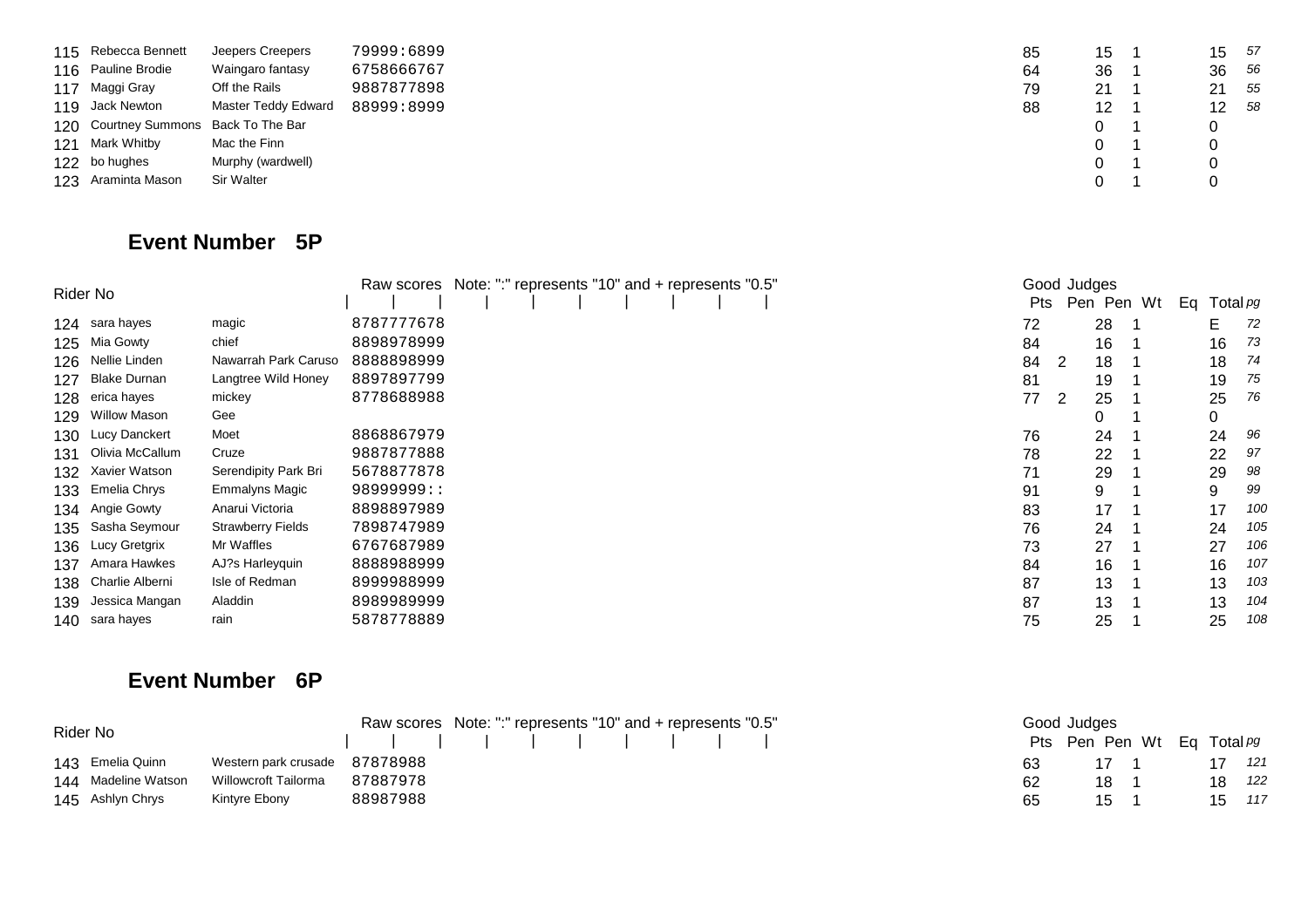| 115 Rebecca Bennett                  | Jeepers Creepers    | 79999:6899 | 85 | 15 | 15 | 57   |
|--------------------------------------|---------------------|------------|----|----|----|------|
| 116 Pauline Brodie                   | Waingaro fantasy    | 6758666767 | 64 | 36 | 36 | - 56 |
| 117 Maggi Gray                       | Off the Rails       | 9887877898 | 79 | 21 | 21 | - 55 |
| 119 Jack Newton                      | Master Teddy Edward | 88999:8999 | 88 | 12 | 12 | - 58 |
| 120 Courtney Summons Back To The Bar |                     |            |    | 0  | 0  |      |
| 121 Mark Whitby                      | Mac the Finn        |            |    | 0  | 0  |      |
| 122 bo hughes                        | Murphy (wardwell)   |            |    | 0  | 0  |      |
| 123 Araminta Mason                   | Sir Walter          |            |    |    |    |      |

#### **Event Number 5P**

|      | Rider No          | Raw scores Note: ":" represents "10" and + represents "0.5" |            |  |  |  |  |            | Good Judges |            |    |          |     |
|------|-------------------|-------------------------------------------------------------|------------|--|--|--|--|------------|-------------|------------|----|----------|-----|
|      |                   |                                                             |            |  |  |  |  | <b>Pts</b> |             | Pen Pen Wt | Ea | Total pg |     |
|      | 124 sara hayes    | magic                                                       | 8787777678 |  |  |  |  | 72         |             | 28         |    | Е        | 72  |
|      | 125 Mia Gowty     | chief                                                       | 8898978999 |  |  |  |  | 84         |             | 16         |    | 16       | 73  |
|      | 126 Nellie Linden | Nawarrah Park Caruso                                        | 8888898999 |  |  |  |  | 84         | 2           | 18         |    | 18       | 74  |
|      | 127 Blake Durnan  | Langtree Wild Honey                                         | 8897897799 |  |  |  |  | 81         |             | 19         |    | 19       | 75  |
|      | 128 erica hayes   | mickey                                                      | 8778688988 |  |  |  |  | 77         | 2           | 25         |    | 25       | 76  |
|      | 129 Willow Mason  | Gee                                                         |            |  |  |  |  |            |             | 0          |    | 0        |     |
|      | 130 Lucy Danckert | Moet                                                        | 8868867979 |  |  |  |  | 76         |             | 24         |    | 24       | 96  |
| 131  | Olivia McCallum   | Cruze                                                       | 9887877888 |  |  |  |  | 78         |             | 22         |    | 22       | 97  |
|      | 132 Xavier Watson | Serendipity Park Bri                                        | 5678877878 |  |  |  |  | 71         |             | 29         |    | 29       | 98  |
|      | 133 Emelia Chrys  | Emmalyns Magic                                              | 98999999:: |  |  |  |  | 91         |             | 9          |    | 9        | 99  |
|      | 134 Angie Gowty   | Anarui Victoria                                             | 8898897989 |  |  |  |  | 83         |             | 17         |    | 17       | 100 |
|      | 135 Sasha Seymour | <b>Strawberry Fields</b>                                    | 7898747989 |  |  |  |  | 76         |             | 24         |    | 24       | 105 |
|      | 136 Lucy Gretgrix | Mr Waffles                                                  | 6767687989 |  |  |  |  | 73         |             | 27         |    | 27       | 106 |
| 137. | Amara Hawkes      | AJ?s Harleyquin                                             | 8888988999 |  |  |  |  | 84         |             | 16         |    | 16       | 107 |
| 138  | Charlie Alberni   | Isle of Redman                                              | 8999988999 |  |  |  |  | 87         |             | 13         |    | 13       | 103 |
| 139  | Jessica Mangan    | Aladdin                                                     | 8989989999 |  |  |  |  | 87         |             | 13         |    | 13       | 104 |
|      | 140 sara hayes    | rain                                                        | 5878778889 |  |  |  |  | 75         |             | 25         |    | 25       | 108 |

#### **Event Number 6P**

| Rider No            |                               |          | Raw scores Note: ":" represents "10" and + represents "0.5" |  |  |  |  | Good Judges |    |                            |  |  |        |     |
|---------------------|-------------------------------|----------|-------------------------------------------------------------|--|--|--|--|-------------|----|----------------------------|--|--|--------|-----|
|                     |                               |          |                                                             |  |  |  |  |             |    | Pts Pen Pen Wt Eq Total pg |  |  |        |     |
| 143 Emelia Quinn    | Western park crusade 87878988 |          |                                                             |  |  |  |  |             | 63 | 17 1                       |  |  | 17     | 121 |
| 144 Madeline Watson | Willowcroft Tailorma          | 87887978 |                                                             |  |  |  |  |             | 62 | 18                         |  |  | 18     | 122 |
| 145 Ashlyn Chrys    | Kintyre Ebony                 | 88987988 |                                                             |  |  |  |  |             | 65 | 15                         |  |  | 15 117 |     |